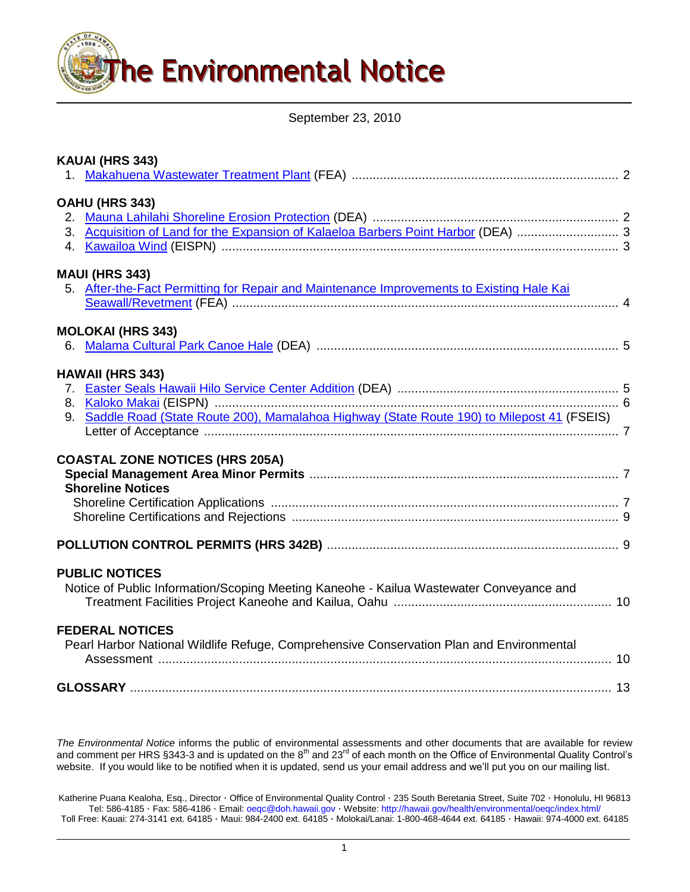

September 23, 2010

| KAUAI (HRS 343)                                                                                                         |  |
|-------------------------------------------------------------------------------------------------------------------------|--|
| OAHU (HRS 343)<br>3. Acquisition of Land for the Expansion of Kalaeloa Barbers Point Harbor (DEA)  3                    |  |
| <b>MAUI (HRS 343)</b><br>5. After-the-Fact Permitting for Repair and Maintenance Improvements to Existing Hale Kai      |  |
| <b>MOLOKAI (HRS 343)</b>                                                                                                |  |
| <b>HAWAII (HRS 343)</b><br>9. Saddle Road (State Route 200), Mamalahoa Highway (State Route 190) to Milepost 41 (FSEIS) |  |
| <b>COASTAL ZONE NOTICES (HRS 205A)</b><br><b>Shoreline Notices</b>                                                      |  |
|                                                                                                                         |  |
| <b>PUBLIC NOTICES</b><br>Notice of Public Information/Scoping Meeting Kaneohe - Kailua Wastewater Conveyance and        |  |
| <b>FEDERAL NOTICES</b><br>Pearl Harbor National Wildlife Refuge, Comprehensive Conservation Plan and Environmental      |  |
|                                                                                                                         |  |

*The Environmental Notice* informs the public of environmental assessments and other documents that are available for review and comment per HRS §343-3 and is updated on the 8<sup>th</sup> and 23<sup>rd</sup> of each month on the Office of Environmental Quality Control's website. If you would like to be notified when it is updated, send us your email address and we"ll put you on our mailing list.

Katherine Puana Kealoha, Esq., Director · Office of Environmental Quality Control · 235 South Beretania Street, Suite 702 · Honolulu, HI 96813 Tel: 586-4185 · Fax: 586-4186 · Email: [oeqc@doh.hawaii.gov](mailto:oeqc@doh.hawaii.gov) · Website[: http://hawaii.gov/health/environmental/oeqc/index.html/](http://hawaii.gov/health/environmental/oeqc/index.html/) Toll Free: Kauai: 274-3141 ext. 64185 · Maui: 984-2400 ext. 64185 · Molokai/Lanai: 1-800-468-4644 ext. 64185 · Hawaii: 974-4000 ext. 64185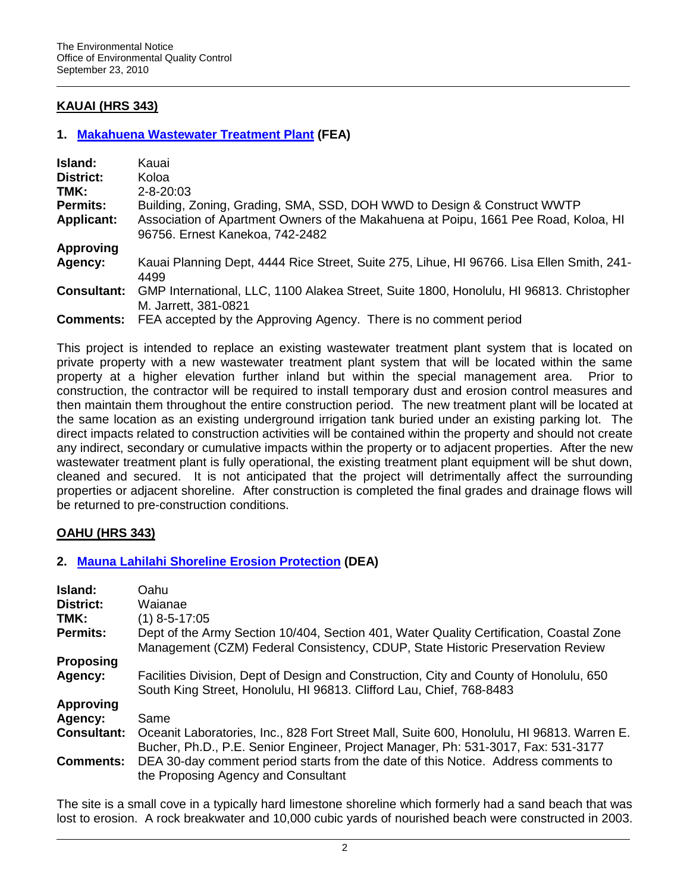# **KAUAI (HRS 343)**

## **1. [Makahuena Wastewater Treatment Plant](http://oeqc.doh.hawaii.gov/Shared%20Documents/EA_and_EIS_Online_Library/Kauai/2010s/2010-09-23-KA-FEA-Makuahuena-Wastewater-Treatment.pdf) (FEA)**

| Island:            | Kauai                                                                                                           |
|--------------------|-----------------------------------------------------------------------------------------------------------------|
| <b>District:</b>   | Koloa                                                                                                           |
| TMK:               | $2 - 8 - 20:03$                                                                                                 |
| <b>Permits:</b>    | Building, Zoning, Grading, SMA, SSD, DOH WWD to Design & Construct WWTP                                         |
| <b>Applicant:</b>  | Association of Apartment Owners of the Makahuena at Poipu, 1661 Pee Road, Koloa, HI                             |
|                    | 96756. Ernest Kanekoa, 742-2482                                                                                 |
| <b>Approving</b>   |                                                                                                                 |
| Agency:            | Kauai Planning Dept, 4444 Rice Street, Suite 275, Lihue, HI 96766. Lisa Ellen Smith, 241-<br>4499               |
| <b>Consultant:</b> | GMP International, LLC, 1100 Alakea Street, Suite 1800, Honolulu, HI 96813. Christopher<br>M. Jarrett, 381-0821 |
| <b>Comments:</b>   | FEA accepted by the Approving Agency. There is no comment period                                                |

This project is intended to replace an existing wastewater treatment plant system that is located on private property with a new wastewater treatment plant system that will be located within the same property at a higher elevation further inland but within the special management area. Prior to construction, the contractor will be required to install temporary dust and erosion control measures and then maintain them throughout the entire construction period. The new treatment plant will be located at the same location as an existing underground irrigation tank buried under an existing parking lot. The direct impacts related to construction activities will be contained within the property and should not create any indirect, secondary or cumulative impacts within the property or to adjacent properties. After the new wastewater treatment plant is fully operational, the existing treatment plant equipment will be shut down, cleaned and secured. It is not anticipated that the project will detrimentally affect the surrounding properties or adjacent shoreline. After construction is completed the final grades and drainage flows will be returned to pre-construction conditions.

# **OAHU (HRS 343)**

## **2. [Mauna Lahilahi Shoreline Erosion Protection](http://oeqc.doh.hawaii.gov/Shared%20Documents/EA_and_EIS_Online_Library/Oahu/2010s/2010-09-23-OA-DEA-Mauna-Lahilahi.pdf) (DEA)**

| Island:            | Oahu                                                                                                                                                                      |  |  |  |
|--------------------|---------------------------------------------------------------------------------------------------------------------------------------------------------------------------|--|--|--|
| District:          | Waianae                                                                                                                                                                   |  |  |  |
| TMK:               | $(1)$ 8-5-17:05                                                                                                                                                           |  |  |  |
| <b>Permits:</b>    | Dept of the Army Section 10/404, Section 401, Water Quality Certification, Coastal Zone<br>Management (CZM) Federal Consistency, CDUP, State Historic Preservation Review |  |  |  |
| <b>Proposing</b>   |                                                                                                                                                                           |  |  |  |
| Agency:            | Facilities Division, Dept of Design and Construction, City and County of Honolulu, 650<br>South King Street, Honolulu, HI 96813. Clifford Lau, Chief, 768-8483            |  |  |  |
| <b>Approving</b>   |                                                                                                                                                                           |  |  |  |
| Agency:            | Same                                                                                                                                                                      |  |  |  |
| <b>Consultant:</b> | Oceanit Laboratories, Inc., 828 Fort Street Mall, Suite 600, Honolulu, HI 96813. Warren E.                                                                                |  |  |  |
|                    | Bucher, Ph.D., P.E. Senior Engineer, Project Manager, Ph: 531-3017, Fax: 531-3177                                                                                         |  |  |  |
| <b>Comments:</b>   | DEA 30-day comment period starts from the date of this Notice. Address comments to<br>the Proposing Agency and Consultant                                                 |  |  |  |

The site is a small cove in a typically hard limestone shoreline which formerly had a sand beach that was lost to erosion. A rock breakwater and 10,000 cubic yards of nourished beach were constructed in 2003.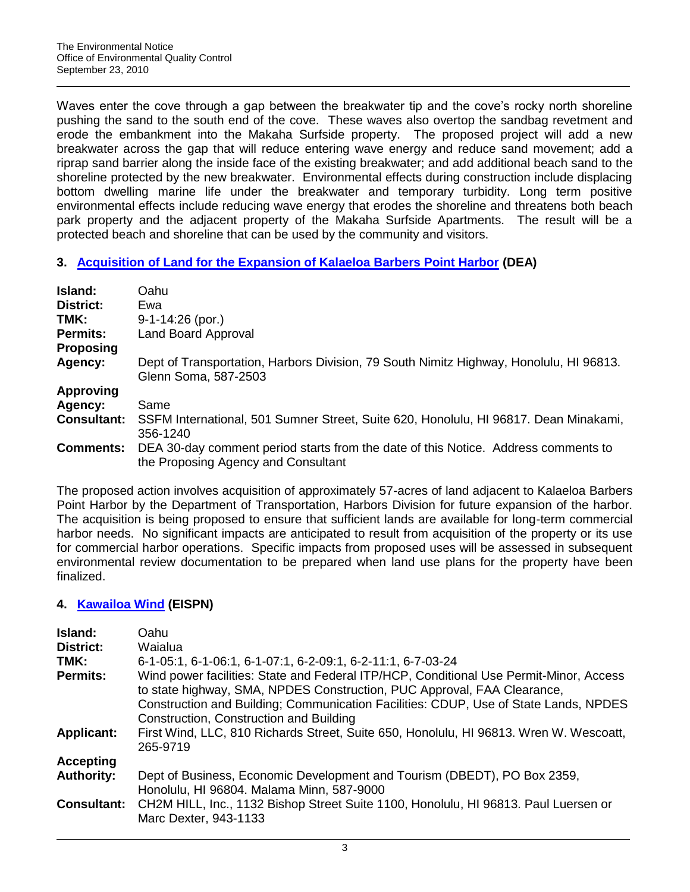Waves enter the cove through a gap between the breakwater tip and the cove's rocky north shoreline pushing the sand to the south end of the cove. These waves also overtop the sandbag revetment and erode the embankment into the Makaha Surfside property. The proposed project will add a new breakwater across the gap that will reduce entering wave energy and reduce sand movement; add a riprap sand barrier along the inside face of the existing breakwater; and add additional beach sand to the shoreline protected by the new breakwater. Environmental effects during construction include displacing bottom dwelling marine life under the breakwater and temporary turbidity. Long term positive environmental effects include reducing wave energy that erodes the shoreline and threatens both beach park property and the adjacent property of the Makaha Surfside Apartments. The result will be a protected beach and shoreline that can be used by the community and visitors.

## **3. [Acquisition of Land for the Expansion of Kalaeloa Barbers Point Harbor](http://oeqc.doh.hawaii.gov/Shared%20Documents/EA_and_EIS_Online_Library/Oahu/2010s/2010-09-23-OA-DEA-Kalaeloa-Barbers-Point-Land-Acq.pdf) (DEA)**

| <b>Island:</b><br>District: | Oahu<br>Ewa                                                                                                               |
|-----------------------------|---------------------------------------------------------------------------------------------------------------------------|
| TMK:                        |                                                                                                                           |
|                             | $9-1-14:26$ (por.)                                                                                                        |
| <b>Permits:</b>             | Land Board Approval                                                                                                       |
| <b>Proposing</b>            |                                                                                                                           |
| Agency:                     | Dept of Transportation, Harbors Division, 79 South Nimitz Highway, Honolulu, HI 96813.<br>Glenn Soma, 587-2503            |
| <b>Approving</b>            |                                                                                                                           |
| Agency:                     | Same                                                                                                                      |
| <b>Consultant:</b>          | SSFM International, 501 Sumner Street, Suite 620, Honolulu, HI 96817. Dean Minakami,<br>356-1240                          |
| <b>Comments:</b>            | DEA 30-day comment period starts from the date of this Notice. Address comments to<br>the Proposing Agency and Consultant |

The proposed action involves acquisition of approximately 57-acres of land adjacent to Kalaeloa Barbers Point Harbor by the Department of Transportation, Harbors Division for future expansion of the harbor. The acquisition is being proposed to ensure that sufficient lands are available for long-term commercial harbor needs. No significant impacts are anticipated to result from acquisition of the property or its use for commercial harbor operations. Specific impacts from proposed uses will be assessed in subsequent environmental review documentation to be prepared when land use plans for the property have been finalized.

## **4. [Kawailoa Wind](http://oeqc.doh.hawaii.gov/Shared%20Documents/EA_and_EIS_Online_Library/Oahu/2010s/2010-09-23-OA-EISPN-Kawailoa-Wind-Farm.pdf) (EISPN)**

| Island:<br><b>District:</b> | Oahu<br>Waialua                                                                                                                                                   |
|-----------------------------|-------------------------------------------------------------------------------------------------------------------------------------------------------------------|
| TMK:                        | 6-1-05:1, 6-1-06:1, 6-1-07:1, 6-2-09:1, 6-2-11:1, 6-7-03-24                                                                                                       |
| <b>Permits:</b>             | Wind power facilities: State and Federal ITP/HCP, Conditional Use Permit-Minor, Access<br>to state highway, SMA, NPDES Construction, PUC Approval, FAA Clearance, |
|                             | Construction and Building; Communication Facilities: CDUP, Use of State Lands, NPDES<br>Construction, Construction and Building                                   |
| <b>Applicant:</b>           | First Wind, LLC, 810 Richards Street, Suite 650, Honolulu, HI 96813. Wren W. Wescoatt,<br>265-9719                                                                |
| Accepting                   |                                                                                                                                                                   |
| <b>Authority:</b>           | Dept of Business, Economic Development and Tourism (DBEDT), PO Box 2359,<br>Honolulu, HI 96804. Malama Minn, 587-9000                                             |
| <b>Consultant:</b>          | CH2M HILL, Inc., 1132 Bishop Street Suite 1100, Honolulu, HI 96813. Paul Luersen or<br>Marc Dexter, 943-1133                                                      |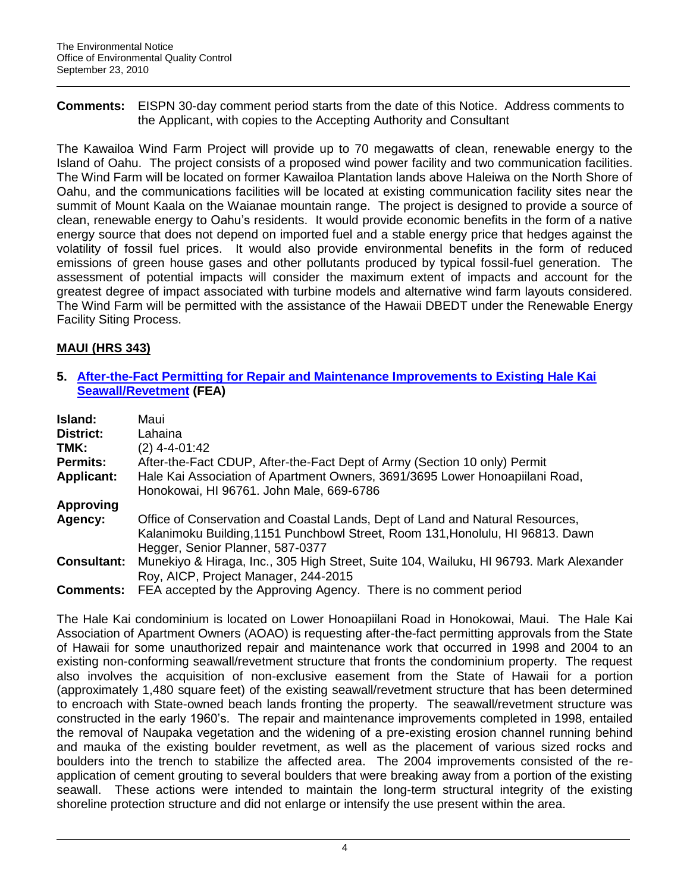**Comments:** EISPN 30-day comment period starts from the date of this Notice. Address comments to the Applicant, with copies to the Accepting Authority and Consultant

The Kawailoa Wind Farm Project will provide up to 70 megawatts of clean, renewable energy to the Island of Oahu. The project consists of a proposed wind power facility and two communication facilities. The Wind Farm will be located on former Kawailoa Plantation lands above Haleiwa on the North Shore of Oahu, and the communications facilities will be located at existing communication facility sites near the summit of Mount Kaala on the Waianae mountain range. The project is designed to provide a source of clean, renewable energy to Oahu"s residents. It would provide economic benefits in the form of a native energy source that does not depend on imported fuel and a stable energy price that hedges against the volatility of fossil fuel prices. It would also provide environmental benefits in the form of reduced emissions of green house gases and other pollutants produced by typical fossil-fuel generation. The assessment of potential impacts will consider the maximum extent of impacts and account for the greatest degree of impact associated with turbine models and alternative wind farm layouts considered. The Wind Farm will be permitted with the assistance of the Hawaii DBEDT under the Renewable Energy Facility Siting Process.

# **MAUI (HRS 343)**

## **5. [After-the-Fact Permitting for Repair and Maintenance Improvements to Existing Hale Kai](http://oeqc.doh.hawaii.gov/Shared%20Documents/EA_and_EIS_Online_Library/Maui/2010s/2010-09-23-MA-FEA-Seawall-Honokowai.pdf)  [Seawall/Revetment](http://oeqc.doh.hawaii.gov/Shared%20Documents/EA_and_EIS_Online_Library/Maui/2010s/2010-09-23-MA-FEA-Seawall-Honokowai.pdf) (FEA)**

| Island:            | Maui                                                                                                                                                                                                |  |  |  |
|--------------------|-----------------------------------------------------------------------------------------------------------------------------------------------------------------------------------------------------|--|--|--|
| <b>District:</b>   | Lahaina                                                                                                                                                                                             |  |  |  |
| TMK:               | $(2)$ 4-4-01:42                                                                                                                                                                                     |  |  |  |
| <b>Permits:</b>    | After-the-Fact CDUP, After-the-Fact Dept of Army (Section 10 only) Permit                                                                                                                           |  |  |  |
| <b>Applicant:</b>  | Hale Kai Association of Apartment Owners, 3691/3695 Lower Honoapiilani Road,<br>Honokowai, HI 96761. John Male, 669-6786                                                                            |  |  |  |
| Approving          |                                                                                                                                                                                                     |  |  |  |
| Agency:            | Office of Conservation and Coastal Lands, Dept of Land and Natural Resources,<br>Kalanimoku Building, 1151 Punchbowl Street, Room 131, Honolulu, HI 96813. Dawn<br>Hegger, Senior Planner, 587-0377 |  |  |  |
| <b>Consultant:</b> | Munekiyo & Hiraga, Inc., 305 High Street, Suite 104, Wailuku, HI 96793. Mark Alexander<br>Roy, AICP, Project Manager, 244-2015                                                                      |  |  |  |
| <b>Comments:</b>   | FEA accepted by the Approving Agency. There is no comment period                                                                                                                                    |  |  |  |

The Hale Kai condominium is located on Lower Honoapiilani Road in Honokowai, Maui. The Hale Kai Association of Apartment Owners (AOAO) is requesting after-the-fact permitting approvals from the State of Hawaii for some unauthorized repair and maintenance work that occurred in 1998 and 2004 to an existing non-conforming seawall/revetment structure that fronts the condominium property. The request also involves the acquisition of non-exclusive easement from the State of Hawaii for a portion (approximately 1,480 square feet) of the existing seawall/revetment structure that has been determined to encroach with State-owned beach lands fronting the property. The seawall/revetment structure was constructed in the early 1960"s. The repair and maintenance improvements completed in 1998, entailed the removal of Naupaka vegetation and the widening of a pre-existing erosion channel running behind and mauka of the existing boulder revetment, as well as the placement of various sized rocks and boulders into the trench to stabilize the affected area. The 2004 improvements consisted of the reapplication of cement grouting to several boulders that were breaking away from a portion of the existing seawall. These actions were intended to maintain the long-term structural integrity of the existing shoreline protection structure and did not enlarge or intensify the use present within the area.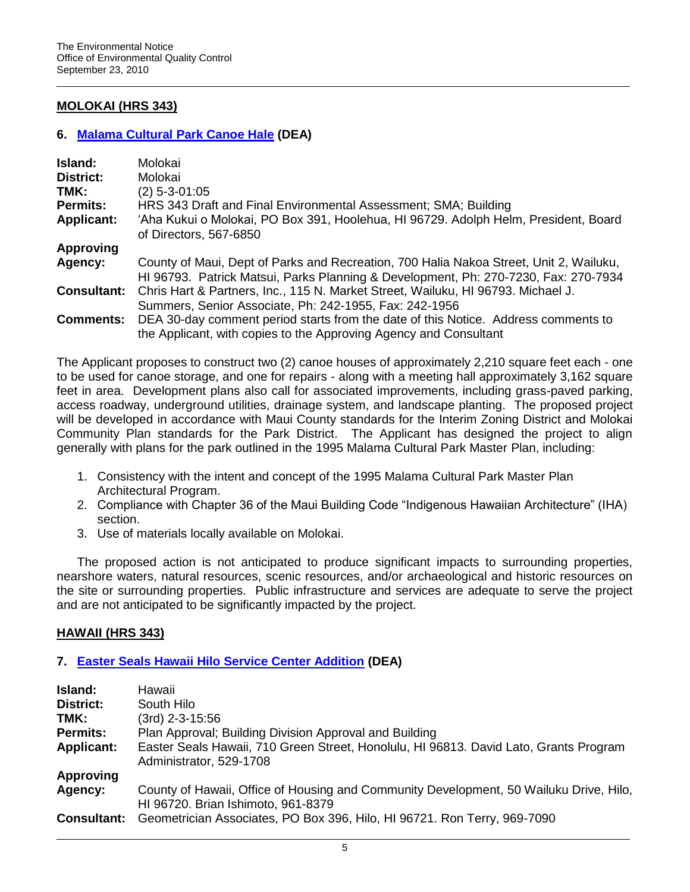# **MOLOKAI (HRS 343)**

## **6. [Malama Cultural Park Canoe Hale](http://oeqc.doh.hawaii.gov/Shared%20Documents/EA_and_EIS_Online_Library/Molokai/2010s/2010-09-23-MO-DEA-Malama-Canoe-Hale.pdf) (DEA)**

| Island:            | Molokai                                                                                                                                                                       |
|--------------------|-------------------------------------------------------------------------------------------------------------------------------------------------------------------------------|
| District:          | Molokai                                                                                                                                                                       |
| TMK:               | $(2)$ 5-3-01:05                                                                                                                                                               |
| <b>Permits:</b>    | HRS 343 Draft and Final Environmental Assessment; SMA; Building                                                                                                               |
| <b>Applicant:</b>  | 'Aha Kukui o Molokai, PO Box 391, Hoolehua, HI 96729. Adolph Helm, President, Board<br>of Directors, 567-6850                                                                 |
| <b>Approving</b>   |                                                                                                                                                                               |
| Agency:            | County of Maui, Dept of Parks and Recreation, 700 Halia Nakoa Street, Unit 2, Wailuku,<br>HI 96793. Patrick Matsui, Parks Planning & Development, Ph: 270-7230, Fax: 270-7934 |
| <b>Consultant:</b> | Chris Hart & Partners, Inc., 115 N. Market Street, Wailuku, HI 96793. Michael J.                                                                                              |
|                    | Summers, Senior Associate, Ph: 242-1955, Fax: 242-1956                                                                                                                        |
| <b>Comments:</b>   | DEA 30-day comment period starts from the date of this Notice. Address comments to                                                                                            |
|                    | the Applicant, with copies to the Approving Agency and Consultant                                                                                                             |

The Applicant proposes to construct two (2) canoe houses of approximately 2,210 square feet each - one to be used for canoe storage, and one for repairs - along with a meeting hall approximately 3,162 square feet in area. Development plans also call for associated improvements, including grass-paved parking, access roadway, underground utilities, drainage system, and landscape planting. The proposed project will be developed in accordance with Maui County standards for the Interim Zoning District and Molokai Community Plan standards for the Park District. The Applicant has designed the project to align generally with plans for the park outlined in the 1995 Malama Cultural Park Master Plan, including:

- 1. Consistency with the intent and concept of the 1995 Malama Cultural Park Master Plan Architectural Program.
- 2. Compliance with Chapter 36 of the Maui Building Code "Indigenous Hawaiian Architecture" (IHA) section.
- 3. Use of materials locally available on Molokai.

The proposed action is not anticipated to produce significant impacts to surrounding properties, nearshore waters, natural resources, scenic resources, and/or archaeological and historic resources on the site or surrounding properties. Public infrastructure and services are adequate to serve the project and are not anticipated to be significantly impacted by the project.

## **HAWAII (HRS 343)**

## **7. [Easter Seals Hawaii Hilo Service Center Addition](http://oeqc.doh.hawaii.gov/Shared%20Documents/EA_and_EIS_Online_Library/Hawaii/2010s/2010-09-23-HA-DEA-Easter-Seals-Hilo-Service-Center.pdf) (DEA)**

| Island:            | Hawaii                                                                                                                       |  |  |  |
|--------------------|------------------------------------------------------------------------------------------------------------------------------|--|--|--|
| <b>District:</b>   | South Hilo                                                                                                                   |  |  |  |
| TMK:               | (3rd) 2-3-15:56                                                                                                              |  |  |  |
| <b>Permits:</b>    | Plan Approval; Building Division Approval and Building                                                                       |  |  |  |
| <b>Applicant:</b>  | Easter Seals Hawaii, 710 Green Street, Honolulu, HI 96813. David Lato, Grants Program<br>Administrator, 529-1708             |  |  |  |
| <b>Approving</b>   |                                                                                                                              |  |  |  |
| Agency:            | County of Hawaii, Office of Housing and Community Development, 50 Wailuku Drive, Hilo,<br>HI 96720. Brian Ishimoto, 961-8379 |  |  |  |
| <b>Consultant:</b> | Geometrician Associates, PO Box 396, Hilo, HI 96721. Ron Terry, 969-7090                                                     |  |  |  |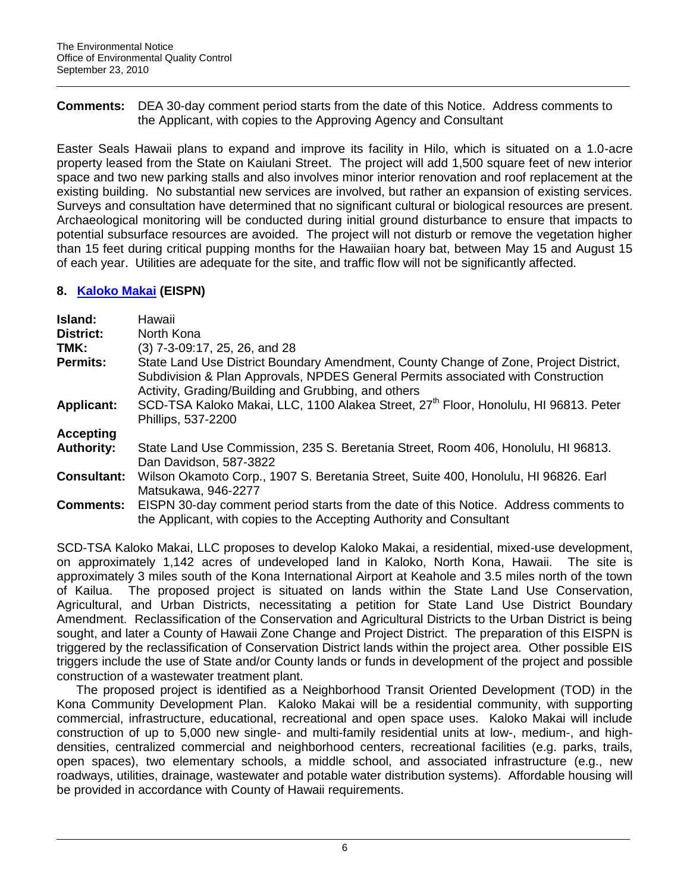**Comments:** DEA 30-day comment period starts from the date of this Notice. Address comments to the Applicant, with copies to the Approving Agency and Consultant

Easter Seals Hawaii plans to expand and improve its facility in Hilo, which is situated on a 1.0-acre property leased from the State on Kaiulani Street. The project will add 1,500 square feet of new interior space and two new parking stalls and also involves minor interior renovation and roof replacement at the existing building. No substantial new services are involved, but rather an expansion of existing services. Surveys and consultation have determined that no significant cultural or biological resources are present. Archaeological monitoring will be conducted during initial ground disturbance to ensure that impacts to potential subsurface resources are avoided. The project will not disturb or remove the vegetation higher than 15 feet during critical pupping months for the Hawaiian hoary bat, between May 15 and August 15 of each year. Utilities are adequate for the site, and traffic flow will not be significantly affected.

# **8. [Kaloko Makai](http://oeqc.doh.hawaii.gov/Shared%20Documents/EA_and_EIS_Online_Library/Hawaii/2010s/2010-09-23-HA-EISPN-Kaloko-Makai.pdf) (EISPN)**

| Island:<br><b>District:</b> | Hawaii<br>North Kona                                                                                                                                                                                                            |
|-----------------------------|---------------------------------------------------------------------------------------------------------------------------------------------------------------------------------------------------------------------------------|
| TMK:                        | (3) 7-3-09:17, 25, 26, and 28                                                                                                                                                                                                   |
| <b>Permits:</b>             | State Land Use District Boundary Amendment, County Change of Zone, Project District,<br>Subdivision & Plan Approvals, NPDES General Permits associated with Construction<br>Activity, Grading/Building and Grubbing, and others |
| <b>Applicant:</b>           | SCD-TSA Kaloko Makai, LLC, 1100 Alakea Street, 27 <sup>th</sup> Floor, Honolulu, HI 96813. Peter<br>Phillips, 537-2200                                                                                                          |
| <b>Accepting</b>            |                                                                                                                                                                                                                                 |
| <b>Authority:</b>           | State Land Use Commission, 235 S. Beretania Street, Room 406, Honolulu, HI 96813.<br>Dan Davidson, 587-3822                                                                                                                     |
| <b>Consultant:</b>          | Wilson Okamoto Corp., 1907 S. Beretania Street, Suite 400, Honolulu, HI 96826. Earl<br>Matsukawa, 946-2277                                                                                                                      |
| <b>Comments:</b>            | EISPN 30-day comment period starts from the date of this Notice. Address comments to<br>the Applicant, with copies to the Accepting Authority and Consultant                                                                    |

SCD-TSA Kaloko Makai, LLC proposes to develop Kaloko Makai, a residential, mixed-use development, on approximately 1,142 acres of undeveloped land in Kaloko, North Kona, Hawaii. The site is approximately 3 miles south of the Kona International Airport at Keahole and 3.5 miles north of the town of Kailua. The proposed project is situated on lands within the State Land Use Conservation, Agricultural, and Urban Districts, necessitating a petition for State Land Use District Boundary Amendment. Reclassification of the Conservation and Agricultural Districts to the Urban District is being sought, and later a County of Hawaii Zone Change and Project District. The preparation of this EISPN is triggered by the reclassification of Conservation District lands within the project area. Other possible EIS triggers include the use of State and/or County lands or funds in development of the project and possible construction of a wastewater treatment plant.

The proposed project is identified as a Neighborhood Transit Oriented Development (TOD) in the Kona Community Development Plan. Kaloko Makai will be a residential community, with supporting commercial, infrastructure, educational, recreational and open space uses. Kaloko Makai will include construction of up to 5,000 new single- and multi-family residential units at low-, medium-, and highdensities, centralized commercial and neighborhood centers, recreational facilities (e.g. parks, trails, open spaces), two elementary schools, a middle school, and associated infrastructure (e.g., new roadways, utilities, drainage, wastewater and potable water distribution systems). Affordable housing will be provided in accordance with County of Hawaii requirements.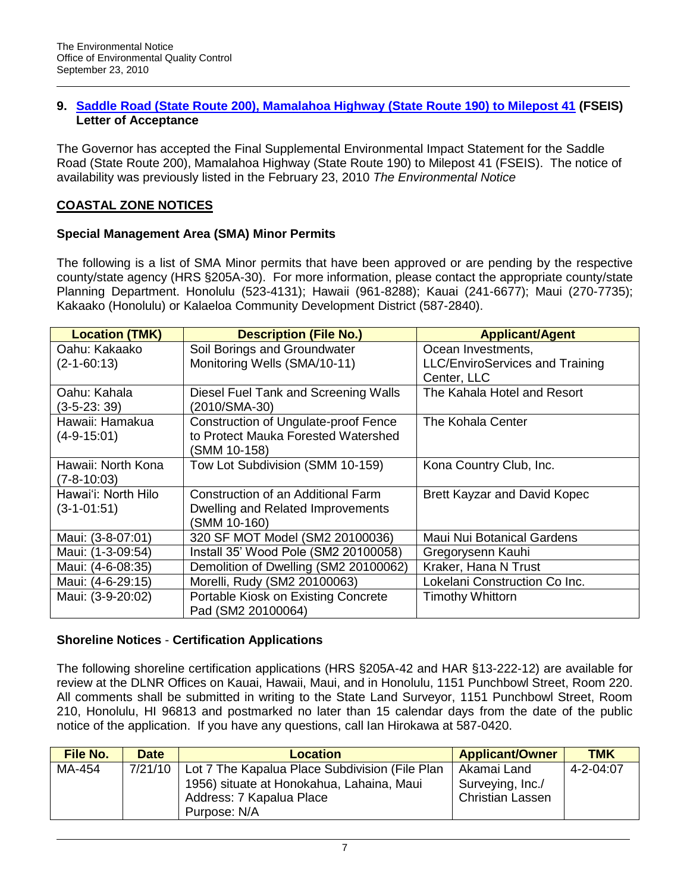## **9. [Saddle Road \(State Route 200\), Mamalahoa Highway \(State Route 190\) to Milepost 41](http://oeqc.doh.hawaii.gov/Shared%20Documents/EA_and_EIS_Online_Library/Hawaii/2010s/2010-02-23-HA-FSEIS-Saddle-Road-Mamalahoa-Hwy.pdf) (FSEIS) Letter of Acceptance**

The Governor has accepted the Final Supplemental Environmental Impact Statement for the Saddle Road (State Route 200), Mamalahoa Highway (State Route 190) to Milepost 41 (FSEIS). The notice of availability was previously listed in the February 23, 2010 *The Environmental Notice*

# **COASTAL ZONE NOTICES**

# **Special Management Area (SMA) Minor Permits**

The following is a list of SMA Minor permits that have been approved or are pending by the respective county/state agency (HRS §205A-30). For more information, please contact the appropriate county/state Planning Department. Honolulu (523-4131); Hawaii (961-8288); Kauai (241-6677); Maui (270-7735); Kakaako (Honolulu) or Kalaeloa Community Development District (587-2840).

| <b>Location (TMK)</b> | <b>Description (File No.)</b>               | <b>Applicant/Agent</b>          |
|-----------------------|---------------------------------------------|---------------------------------|
| Oahu: Kakaako         | Soil Borings and Groundwater                | Ocean Investments,              |
| $(2 - 1 - 60:13)$     | Monitoring Wells (SMA/10-11)                | LLC/EnviroServices and Training |
|                       |                                             | Center, LLC                     |
| Oahu: Kahala          | Diesel Fuel Tank and Screening Walls        | The Kahala Hotel and Resort     |
| $(3-5-23:39)$         | (2010/SMA-30)                               |                                 |
| Hawaii: Hamakua       | <b>Construction of Ungulate-proof Fence</b> | The Kohala Center               |
| $(4-9-15:01)$         | to Protect Mauka Forested Watershed         |                                 |
|                       | (SMM 10-158)                                |                                 |
| Hawaii: North Kona    | Tow Lot Subdivision (SMM 10-159)            | Kona Country Club, Inc.         |
| $(7 - 8 - 10:03)$     |                                             |                                 |
| Hawai'i: North Hilo   | Construction of an Additional Farm          | Brett Kayzar and David Kopec    |
| $(3-1-01:51)$         | Dwelling and Related Improvements           |                                 |
|                       | (SMM 10-160)                                |                                 |
| Maui: (3-8-07:01)     | 320 SF MOT Model (SM2 20100036)             | Maui Nui Botanical Gardens      |
| Maui: (1-3-09:54)     | Install 35' Wood Pole (SM2 20100058)        | Gregorysenn Kauhi               |
| Maui: (4-6-08:35)     | Demolition of Dwelling (SM2 20100062)       | Kraker, Hana N Trust            |
| Maui: (4-6-29:15)     | Morelli, Rudy (SM2 20100063)                | Lokelani Construction Co Inc.   |
| Maui: (3-9-20:02)     | Portable Kiosk on Existing Concrete         | <b>Timothy Whittorn</b>         |
|                       | Pad (SM2 20100064)                          |                                 |

# **Shoreline Notices** - **Certification Applications**

The following shoreline certification applications (HRS §205A-42 and HAR §13-222-12) are available for review at the DLNR Offices on Kauai, Hawaii, Maui, and in Honolulu, 1151 Punchbowl Street, Room 220. All comments shall be submitted in writing to the State Land Surveyor, 1151 Punchbowl Street, Room 210, Honolulu, HI 96813 and postmarked no later than 15 calendar days from the date of the public notice of the application. If you have any questions, call Ian Hirokawa at 587-0420.

| <b>File No.</b> | <b>Date</b> | <b>Location</b>                                                                                                                         | <b>Applicant/Owner</b>                                     | TMK       |
|-----------------|-------------|-----------------------------------------------------------------------------------------------------------------------------------------|------------------------------------------------------------|-----------|
| MA-454          | 7/21/10     | Lot 7 The Kapalua Place Subdivision (File Plan<br>1956) situate at Honokahua, Lahaina, Maui<br>Address: 7 Kapalua Place<br>Purpose: N/A | Akamai Land<br>Surveying, Inc./<br><b>Christian Lassen</b> | 4-2-04:07 |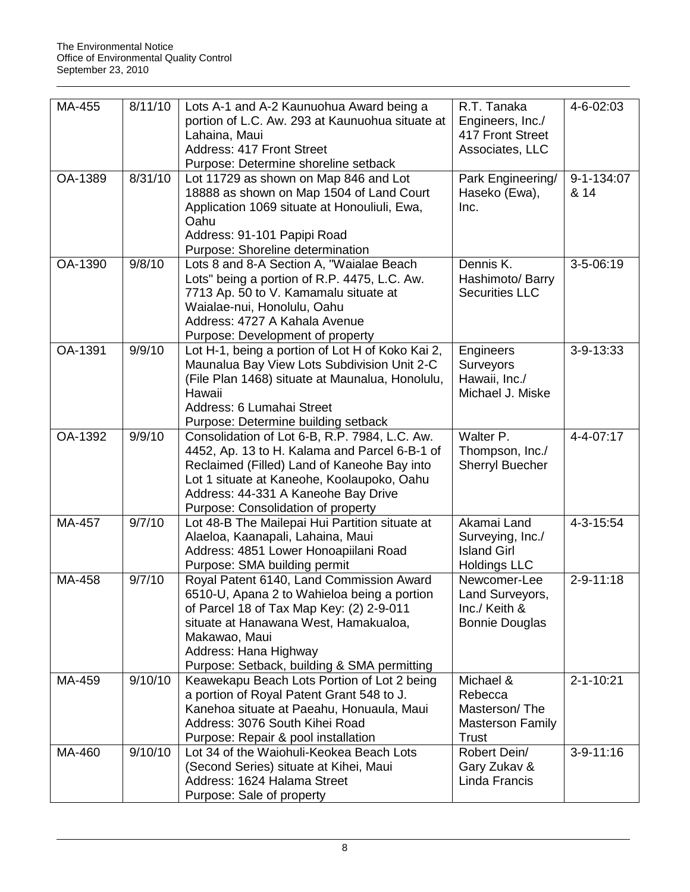| MA-455   | 8/11/10 | Lots A-1 and A-2 Kaunuohua Award being a<br>portion of L.C. Aw. 293 at Kaunuohua situate at<br>Lahaina, Maui<br><b>Address: 417 Front Street</b><br>Purpose: Determine shoreline setback                                                                                 | R.T. Tanaka<br>Engineers, Inc./<br>417 Front Street<br>Associates, LLC           | 4-6-02:03          |
|----------|---------|--------------------------------------------------------------------------------------------------------------------------------------------------------------------------------------------------------------------------------------------------------------------------|----------------------------------------------------------------------------------|--------------------|
| OA-1389  | 8/31/10 | Lot 11729 as shown on Map 846 and Lot<br>18888 as shown on Map 1504 of Land Court<br>Application 1069 situate at Honouliuli, Ewa,<br>Oahu<br>Address: 91-101 Papipi Road<br>Purpose: Shoreline determination                                                             | Park Engineering/<br>Haseko (Ewa),<br>Inc.                                       | 9-1-134:07<br>& 14 |
| OA-1390  | 9/8/10  | Lots 8 and 8-A Section A, "Waialae Beach<br>Lots" being a portion of R.P. 4475, L.C. Aw.<br>7713 Ap. 50 to V. Kamamalu situate at<br>Waialae-nui, Honolulu, Oahu<br>Address: 4727 A Kahala Avenue<br>Purpose: Development of property                                    | Dennis K.<br>Hashimoto/ Barry<br><b>Securities LLC</b>                           | $3-5-06:19$        |
| OA-1391  | 9/9/10  | Lot H-1, being a portion of Lot H of Koko Kai 2,<br>Maunalua Bay View Lots Subdivision Unit 2-C<br>(File Plan 1468) situate at Maunalua, Honolulu,<br>Hawaii<br>Address: 6 Lumahai Street<br>Purpose: Determine building setback                                         | Engineers<br>Surveyors<br>Hawaii, Inc./<br>Michael J. Miske                      | $3 - 9 - 13:33$    |
| OA-1392  | 9/9/10  | Consolidation of Lot 6-B, R.P. 7984, L.C. Aw.<br>4452, Ap. 13 to H. Kalama and Parcel 6-B-1 of<br>Reclaimed (Filled) Land of Kaneohe Bay into<br>Lot 1 situate at Kaneohe, Koolaupoko, Oahu<br>Address: 44-331 A Kaneohe Bay Drive<br>Purpose: Consolidation of property | Walter P.<br>Thompson, Inc./<br>Sherryl Buecher                                  | 4-4-07:17          |
| MA-457   | 9/7/10  | Lot 48-B The Mailepai Hui Partition situate at<br>Alaeloa, Kaanapali, Lahaina, Maui<br>Address: 4851 Lower Honoapiilani Road<br>Purpose: SMA building permit                                                                                                             | Akamai Land<br>Surveying, Inc./<br><b>Island Girl</b><br><b>Holdings LLC</b>     | $4 - 3 - 15:54$    |
| MA-458   | 9/7/10  | Royal Patent 6140, Land Commission Award<br>6510-U, Apana 2 to Wahieloa being a portion<br>of Parcel 18 of Tax Map Key: (2) 2-9-011<br>situate at Hanawana West, Hamakualoa,<br>Makawao, Maui<br>Address: Hana Highway<br>Purpose: Setback, building & SMA permitting    | Newcomer-Lee<br>Land Surveyors<br>Inc./ Keith &<br><b>Bonnie Douglas</b>         | $2 - 9 - 11:18$    |
| $MA-459$ | 9/10/10 | Keawekapu Beach Lots Portion of Lot 2 being<br>a portion of Royal Patent Grant 548 to J.<br>Kanehoa situate at Paeahu, Honuaula, Maui<br>Address: 3076 South Kihei Road<br>Purpose: Repair & pool installation                                                           | Michael &<br>Rebecca<br>Masterson/The<br><b>Masterson Family</b><br><b>Trust</b> | $2 - 1 - 10:21$    |
| MA-460   | 9/10/10 | Lot 34 of the Waiohuli-Keokea Beach Lots<br>(Second Series) situate at Kihei, Maui<br>Address: 1624 Halama Street<br>Purpose: Sale of property                                                                                                                           | Robert Dein/<br>Gary Zukav &<br>Linda Francis                                    | $3-9-11:16$        |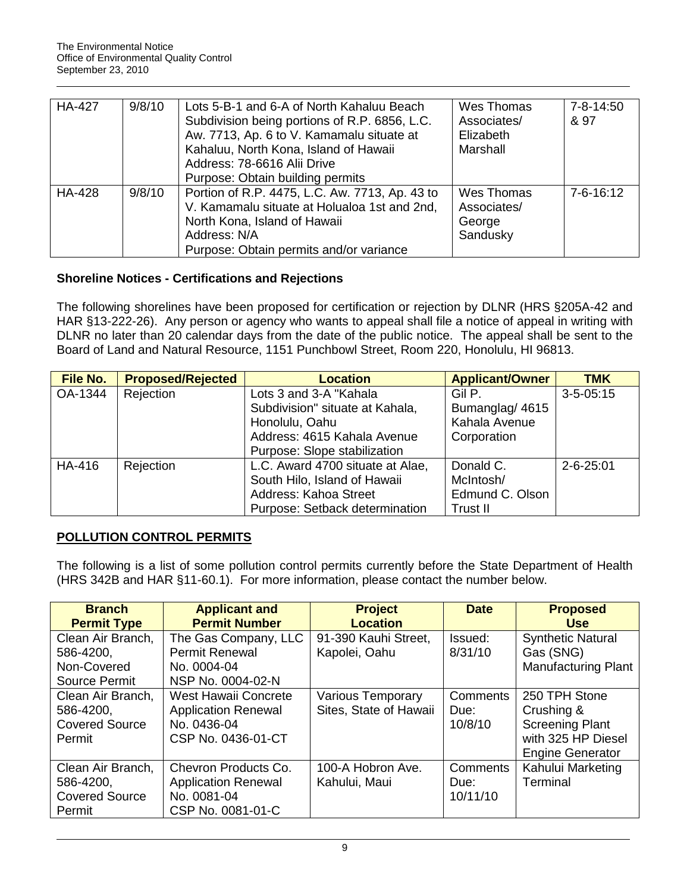| <b>HA-427</b> | 9/8/10 | Lots 5-B-1 and 6-A of North Kahaluu Beach      | Wes Thomas  | $7 - 8 - 14:50$ |
|---------------|--------|------------------------------------------------|-------------|-----------------|
|               |        | Subdivision being portions of R.P. 6856, L.C.  | Associates/ | & 97            |
|               |        | Aw. 7713, Ap. 6 to V. Kamamalu situate at      | Elizabeth   |                 |
|               |        | Kahaluu, North Kona, Island of Hawaii          | Marshall    |                 |
|               |        | Address: 78-6616 Alii Drive                    |             |                 |
|               |        | Purpose: Obtain building permits               |             |                 |
| HA-428        | 9/8/10 | Portion of R.P. 4475, L.C. Aw. 7713, Ap. 43 to | Wes Thomas  | $7 - 6 - 16:12$ |
|               |        | V. Kamamalu situate at Holualoa 1st and 2nd,   | Associates/ |                 |
|               |        | North Kona, Island of Hawaii                   | George      |                 |
|               |        | Address: N/A                                   | Sandusky    |                 |
|               |        | Purpose: Obtain permits and/or variance        |             |                 |

# **Shoreline Notices - Certifications and Rejections**

The following shorelines have been proposed for certification or rejection by DLNR (HRS §205A-42 and HAR §13-222-26). Any person or agency who wants to appeal shall file a notice of appeal in writing with DLNR no later than 20 calendar days from the date of the public notice. The appeal shall be sent to the Board of Land and Natural Resource, 1151 Punchbowl Street, Room 220, Honolulu, HI 96813.

| <b>File No.</b> | <b>Proposed/Rejected</b> | <b>Location</b>                  | <b>Applicant/Owner</b> | <b>TMK</b>      |
|-----------------|--------------------------|----------------------------------|------------------------|-----------------|
| OA-1344         | Rejection                | Lots 3 and 3-A "Kahala           | Gil P.                 | $3 - 5 - 05:15$ |
|                 |                          | Subdivision" situate at Kahala,  | Bumanglag/ 4615        |                 |
|                 |                          | Honolulu, Oahu                   | Kahala Avenue          |                 |
|                 |                          | Address: 4615 Kahala Avenue      | Corporation            |                 |
|                 |                          | Purpose: Slope stabilization     |                        |                 |
| HA-416          | Rejection                | L.C. Award 4700 situate at Alae, | Donald C.              | $2 - 6 - 25:01$ |
|                 |                          | South Hilo, Island of Hawaii     | McIntosh/              |                 |
|                 |                          | Address: Kahoa Street            | Edmund C. Olson        |                 |
|                 |                          | Purpose: Setback determination   | Trust II               |                 |

## **POLLUTION CONTROL PERMITS**

The following is a list of some pollution control permits currently before the State Department of Health (HRS 342B and HAR §11-60.1). For more information, please contact the number below.

| <b>Branch</b><br><b>Permit Type</b>                               | <b>Applicant and</b><br><b>Permit Number</b>                                            | <b>Project</b><br><b>Location</b>                  | <b>Date</b>                        | <b>Proposed</b><br><b>Use</b>                                                                          |
|-------------------------------------------------------------------|-----------------------------------------------------------------------------------------|----------------------------------------------------|------------------------------------|--------------------------------------------------------------------------------------------------------|
| Clean Air Branch,<br>586-4200,<br>Non-Covered<br>Source Permit    | The Gas Company, LLC<br><b>Permit Renewal</b><br>No. 0004-04<br>NSP No. 0004-02-N       | 91-390 Kauhi Street,<br>Kapolei, Oahu              | Issued:<br>8/31/10                 | <b>Synthetic Natural</b><br>Gas (SNG)<br><b>Manufacturing Plant</b>                                    |
| Clean Air Branch,<br>586-4200,<br><b>Covered Source</b><br>Permit | West Hawaii Concrete<br><b>Application Renewal</b><br>No. 0436-04<br>CSP No. 0436-01-CT | <b>Various Temporary</b><br>Sites, State of Hawaii | <b>Comments</b><br>Due:<br>10/8/10 | 250 TPH Stone<br>Crushing &<br><b>Screening Plant</b><br>with 325 HP Diesel<br><b>Engine Generator</b> |
| Clean Air Branch,<br>586-4200,<br><b>Covered Source</b><br>Permit | Chevron Products Co.<br><b>Application Renewal</b><br>No. 0081-04<br>CSP No. 0081-01-C  | 100-A Hobron Ave.<br>Kahului, Maui                 | Comments<br>Due:<br>10/11/10       | Kahului Marketing<br>Terminal                                                                          |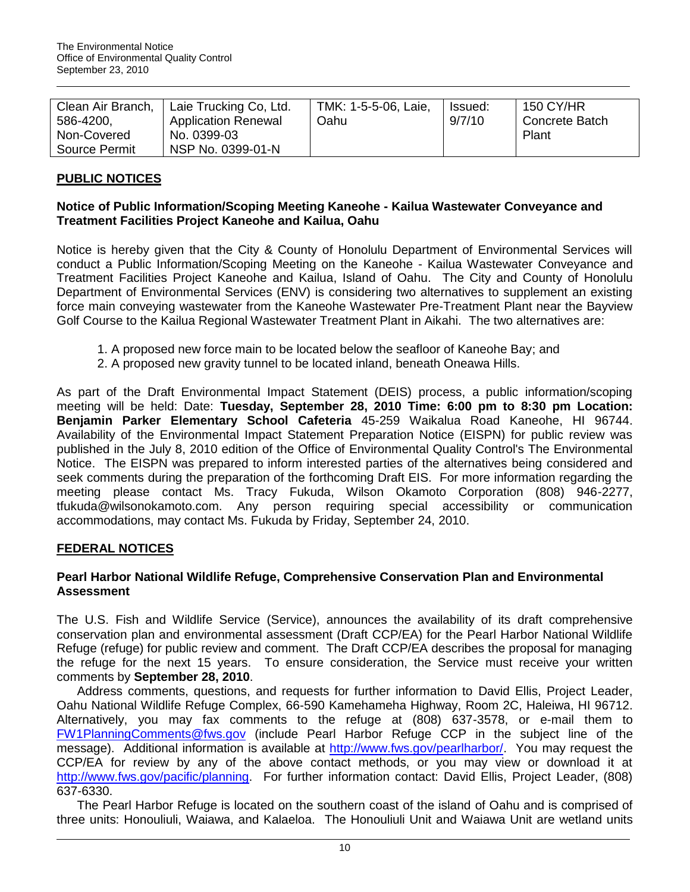| Clean Air Branch, | Laie Trucking Co, Ltd.     | TMK: 1-5-5-06, Laie, | lssued: | <b>150 CY/HR</b>      |
|-------------------|----------------------------|----------------------|---------|-----------------------|
| 586-4200,         | <b>Application Renewal</b> | Oahu                 | 9/7/10  | <b>Concrete Batch</b> |
| Non-Covered       | No. 0399-03                |                      |         | Plant                 |
| Source Permit     | NSP No. 0399-01-N          |                      |         |                       |

## **PUBLIC NOTICES**

## **Notice of Public Information/Scoping Meeting Kaneohe - Kailua Wastewater Conveyance and Treatment Facilities Project Kaneohe and Kailua, Oahu**

Notice is hereby given that the City & County of Honolulu Department of Environmental Services will conduct a Public Information/Scoping Meeting on the Kaneohe - Kailua Wastewater Conveyance and Treatment Facilities Project Kaneohe and Kailua, Island of Oahu. The City and County of Honolulu Department of Environmental Services (ENV) is considering two alternatives to supplement an existing force main conveying wastewater from the Kaneohe Wastewater Pre-Treatment Plant near the Bayview Golf Course to the Kailua Regional Wastewater Treatment Plant in Aikahi. The two alternatives are:

- 1. A proposed new force main to be located below the seafloor of Kaneohe Bay; and
- 2. A proposed new gravity tunnel to be located inland, beneath Oneawa Hills.

As part of the Draft Environmental Impact Statement (DEIS) process, a public information/scoping meeting will be held: Date: **Tuesday, September 28, 2010 Time: 6:00 pm to 8:30 pm Location: Benjamin Parker Elementary School Cafeteria** 45-259 Waikalua Road Kaneohe, HI 96744. Availability of the Environmental Impact Statement Preparation Notice (EISPN) for public review was published in the July 8, 2010 edition of the Office of Environmental Quality Control's The Environmental Notice. The EISPN was prepared to inform interested parties of the alternatives being considered and seek comments during the preparation of the forthcoming Draft EIS. For more information regarding the meeting please contact Ms. Tracy Fukuda, Wilson Okamoto Corporation (808) 946-2277, tfukuda@wilsonokamoto.com. Any person requiring special accessibility or communication accommodations, may contact Ms. Fukuda by Friday, September 24, 2010.

### **FEDERAL NOTICES**

### **Pearl Harbor National Wildlife Refuge, Comprehensive Conservation Plan and Environmental Assessment**

The U.S. Fish and Wildlife Service (Service), announces the availability of its draft comprehensive conservation plan and environmental assessment (Draft CCP/EA) for the Pearl Harbor National Wildlife Refuge (refuge) for public review and comment. The Draft CCP/EA describes the proposal for managing the refuge for the next 15 years. To ensure consideration, the Service must receive your written comments by **September 28, 2010**.

Address comments, questions, and requests for further information to David Ellis, Project Leader, Oahu National Wildlife Refuge Complex, 66-590 Kamehameha Highway, Room 2C, Haleiwa, HI 96712. Alternatively, you may fax comments to the refuge at (808) 637-3578, or e-mail them to [FW1PlanningComments@fws.gov](mailto:FW1PlanningComments@fws.gov) (include Pearl Harbor Refuge CCP in the subject line of the message). Additional information is available at [http://www.fws.gov/pearlharbor/.](http://frwebgate.access.gpo.gov/cgi-bin/leaving.cgi?from=leavingFR.html&log=linklog&to=http://www.fws.gov/pearlharbor/) You may request the CCP/EA for review by any of the above contact methods, or you may view or download it at [http://www.fws.gov/pacific/planning.](http://frwebgate.access.gpo.gov/cgi-bin/leaving.cgi?from=leavingFR.html&log=linklog&to=http://www.fws.gov/pacific/planning) For further information contact: David Ellis, Project Leader, (808) 637-6330.

The Pearl Harbor Refuge is located on the southern coast of the island of Oahu and is comprised of three units: Honouliuli, Waiawa, and Kalaeloa. The Honouliuli Unit and Waiawa Unit are wetland units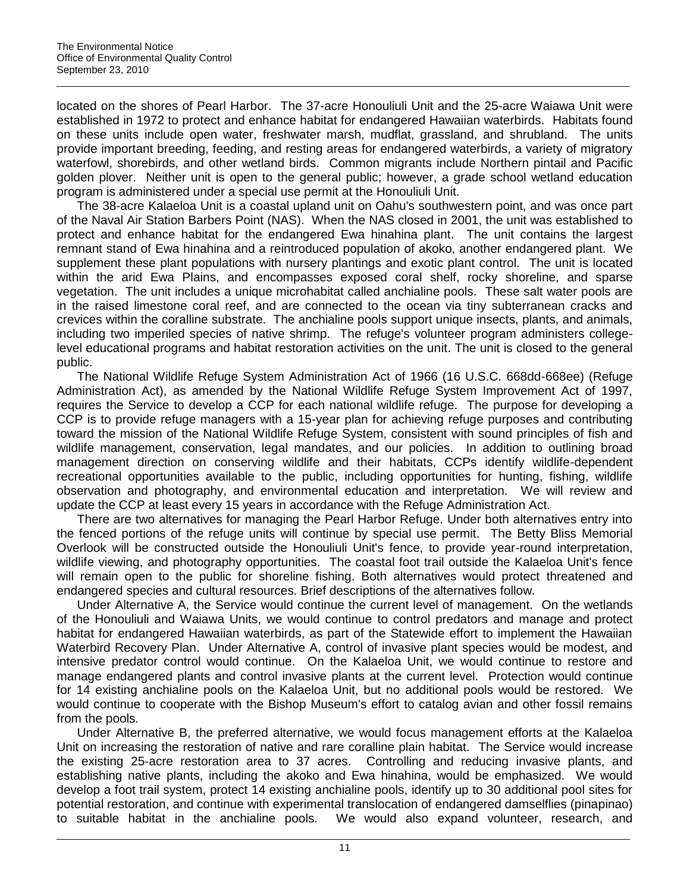located on the shores of Pearl Harbor. The 37-acre Honouliuli Unit and the 25-acre Waiawa Unit were established in 1972 to protect and enhance habitat for endangered Hawaiian waterbirds. Habitats found on these units include open water, freshwater marsh, mudflat, grassland, and shrubland. The units provide important breeding, feeding, and resting areas for endangered waterbirds, a variety of migratory waterfowl, shorebirds, and other wetland birds. Common migrants include Northern pintail and Pacific golden plover. Neither unit is open to the general public; however, a grade school wetland education program is administered under a special use permit at the Honouliuli Unit.

The 38-acre Kalaeloa Unit is a coastal upland unit on Oahu's southwestern point, and was once part of the Naval Air Station Barbers Point (NAS). When the NAS closed in 2001, the unit was established to protect and enhance habitat for the endangered Ewa hinahina plant. The unit contains the largest remnant stand of Ewa hinahina and a reintroduced population of akoko, another endangered plant. We supplement these plant populations with nursery plantings and exotic plant control. The unit is located within the arid Ewa Plains, and encompasses exposed coral shelf, rocky shoreline, and sparse vegetation. The unit includes a unique microhabitat called anchialine pools. These salt water pools are in the raised limestone coral reef, and are connected to the ocean via tiny subterranean cracks and crevices within the coralline substrate. The anchialine pools support unique insects, plants, and animals, including two imperiled species of native shrimp. The refuge's volunteer program administers collegelevel educational programs and habitat restoration activities on the unit. The unit is closed to the general public.

The National Wildlife Refuge System Administration Act of 1966 (16 U.S.C. 668dd-668ee) (Refuge Administration Act), as amended by the National Wildlife Refuge System Improvement Act of 1997, requires the Service to develop a CCP for each national wildlife refuge. The purpose for developing a CCP is to provide refuge managers with a 15-year plan for achieving refuge purposes and contributing toward the mission of the National Wildlife Refuge System, consistent with sound principles of fish and wildlife management, conservation, legal mandates, and our policies. In addition to outlining broad management direction on conserving wildlife and their habitats, CCPs identify wildlife-dependent recreational opportunities available to the public, including opportunities for hunting, fishing, wildlife observation and photography, and environmental education and interpretation. We will review and update the CCP at least every 15 years in accordance with the Refuge Administration Act.

There are two alternatives for managing the Pearl Harbor Refuge. Under both alternatives entry into the fenced portions of the refuge units will continue by special use permit. The Betty Bliss Memorial Overlook will be constructed outside the Honouliuli Unit's fence, to provide year-round interpretation, wildlife viewing, and photography opportunities. The coastal foot trail outside the Kalaeloa Unit's fence will remain open to the public for shoreline fishing. Both alternatives would protect threatened and endangered species and cultural resources. Brief descriptions of the alternatives follow.

Under Alternative A, the Service would continue the current level of management. On the wetlands of the Honouliuli and Waiawa Units, we would continue to control predators and manage and protect habitat for endangered Hawaiian waterbirds, as part of the Statewide effort to implement the Hawaiian Waterbird Recovery Plan. Under Alternative A, control of invasive plant species would be modest, and intensive predator control would continue. On the Kalaeloa Unit, we would continue to restore and manage endangered plants and control invasive plants at the current level. Protection would continue for 14 existing anchialine pools on the Kalaeloa Unit, but no additional pools would be restored. We would continue to cooperate with the Bishop Museum's effort to catalog avian and other fossil remains from the pools.

Under Alternative B, the preferred alternative, we would focus management efforts at the Kalaeloa Unit on increasing the restoration of native and rare coralline plain habitat. The Service would increase the existing 25-acre restoration area to 37 acres. Controlling and reducing invasive plants, and establishing native plants, including the akoko and Ewa hinahina, would be emphasized. We would develop a foot trail system, protect 14 existing anchialine pools, identify up to 30 additional pool sites for potential restoration, and continue with experimental translocation of endangered damselflies (pinapinao) to suitable habitat in the anchialine pools. We would also expand volunteer, research, and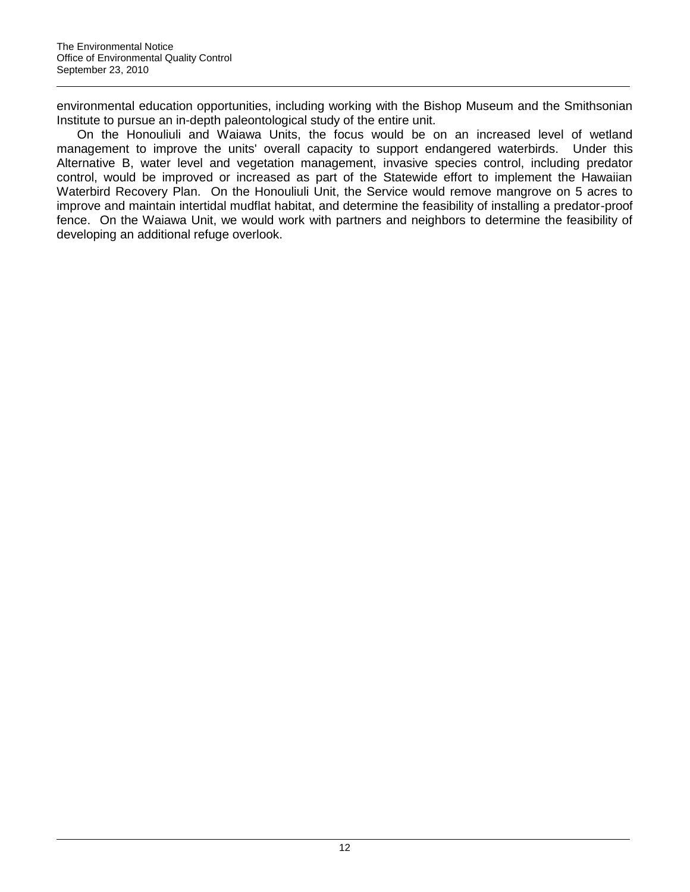environmental education opportunities, including working with the Bishop Museum and the Smithsonian Institute to pursue an in-depth paleontological study of the entire unit.

On the Honouliuli and Waiawa Units, the focus would be on an increased level of wetland management to improve the units' overall capacity to support endangered waterbirds. Under this Alternative B, water level and vegetation management, invasive species control, including predator control, would be improved or increased as part of the Statewide effort to implement the Hawaiian Waterbird Recovery Plan. On the Honouliuli Unit, the Service would remove mangrove on 5 acres to improve and maintain intertidal mudflat habitat, and determine the feasibility of installing a predator-proof fence. On the Waiawa Unit, we would work with partners and neighbors to determine the feasibility of developing an additional refuge overlook.